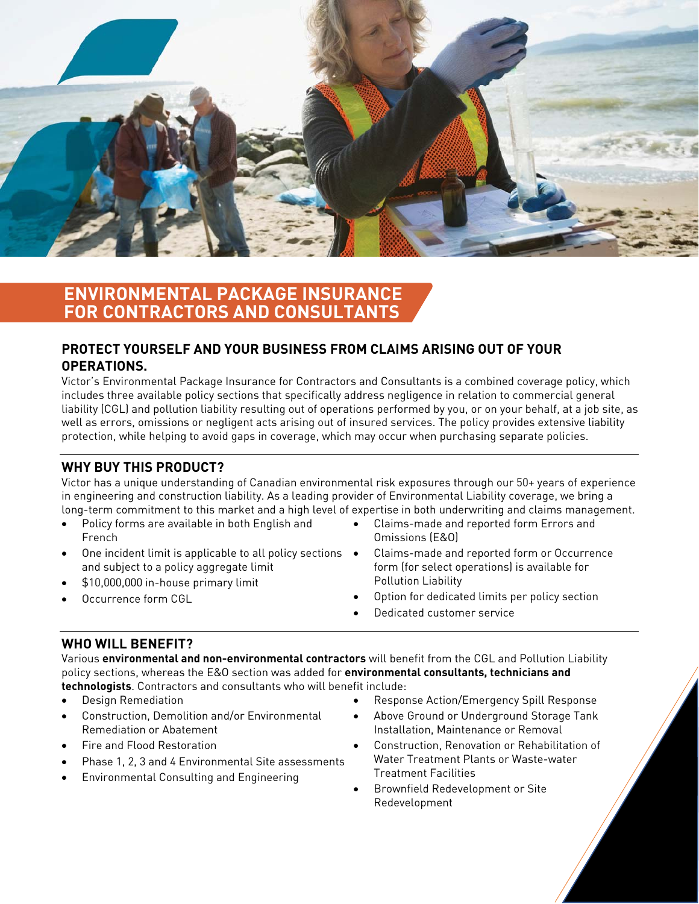

# **ENVIRONMENTAL PACKAGE INSURANCE FOR CONTRACTORS AND CONSULTANTS**

# **PROTECT YOURSELF AND YOUR BUSINESS FROM CLAIMS ARISING OUT OF YOUR OPERATIONS.**

Victor's Environmental Package Insurance for Contractors and Consultants is a combined coverage policy, which includes three available policy sections that specifically address negligence in relation to commercial general liability (CGL) and pollution liability resulting out of operations performed by you, or on your behalf, at a job site, as well as errors, omissions or negligent acts arising out of insured services. The policy provides extensive liability protection, while helping to avoid gaps in coverage, which may occur when purchasing separate policies.

## **WHY BUY THIS PRODUCT?**

Victor has a unique understanding of Canadian environmental risk exposures through our 50+ years of experience in engineering and construction liability. As a leading provider of Environmental Liability coverage, we bring a long-term commitment to this market and a high level of expertise in both underwriting and claims management.

- Policy forms are available in both English and French
- One incident limit is applicable to all policy sections  $\bullet$ and subject to a policy aggregate limit
- \$10,000,000 in-house primary limit
- Occurrence form CGL
- Claims-made and reported form Errors and
- Omissions (E&O)
- Claims-made and reported form or Occurrence form (for select operations) is available for Pollution Liability
- Option for dedicated limits per policy section
- Dedicated customer service

## **WHO WILL BENEFIT?**

Various **environmental and non-environmental contractors** will benefit from the CGL and Pollution Liability policy sections, whereas the E&O section was added for **environmental consultants, technicians and technologists**. Contractors and consultants who will benefit include:

- Design Remediation
- Construction, Demolition and/or Environmental Remediation or Abatement
- Fire and Flood Restoration
- Phase 1, 2, 3 and 4 Environmental Site assessments
- Environmental Consulting and Engineering
- Response Action/Emergency Spill Response
- Above Ground or Underground Storage Tank Installation, Maintenance or Removal
- Construction, Renovation or Rehabilitation of Water Treatment Plants or Waste-water Treatment Facilities
- Brownfield Redevelopment or Site Redevelopment